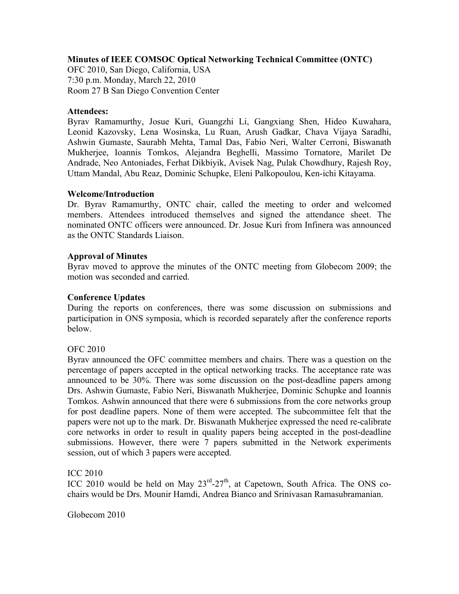### **Minutes of IEEE COMSOC Optical Networking Technical Committee (ONTC)**

OFC 2010, San Diego, California, USA 7:30 p.m. Monday, March 22, 2010 Room 27 B San Diego Convention Center

### **Attendees:**

Byrav Ramamurthy, Josue Kuri, Guangzhi Li, Gangxiang Shen, Hideo Kuwahara, Leonid Kazovsky, Lena Wosinska, Lu Ruan, Arush Gadkar, Chava Vijaya Saradhi, Ashwin Gumaste, Saurabh Mehta, Tamal Das, Fabio Neri, Walter Cerroni, Biswanath Mukherjee, Ioannis Tomkos, Alejandra Beghelli, Massimo Tornatore, Marilet De Andrade, Neo Antoniades, Ferhat Dikbiyik, Avisek Nag, Pulak Chowdhury, Rajesh Roy, Uttam Mandal, Abu Reaz, Dominic Schupke, Eleni Palkopoulou, Ken-ichi Kitayama.

### **Welcome/Introduction**

Dr. Byrav Ramamurthy, ONTC chair, called the meeting to order and welcomed members. Attendees introduced themselves and signed the attendance sheet. The nominated ONTC officers were announced. Dr. Josue Kuri from Infinera was announced as the ONTC Standards Liaison.

### **Approval of Minutes**

Byrav moved to approve the minutes of the ONTC meeting from Globecom 2009; the motion was seconded and carried.

### **Conference Updates**

During the reports on conferences, there was some discussion on submissions and participation in ONS symposia, which is recorded separately after the conference reports below.

### OFC 2010

Byrav announced the OFC committee members and chairs. There was a question on the percentage of papers accepted in the optical networking tracks. The acceptance rate was announced to be 30%. There was some discussion on the post-deadline papers among Drs. Ashwin Gumaste, Fabio Neri, Biswanath Mukherjee, Dominic Schupke and Ioannis Tomkos. Ashwin announced that there were 6 submissions from the core networks group for post deadline papers. None of them were accepted. The subcommittee felt that the papers were not up to the mark. Dr. Biswanath Mukherjee expressed the need re-calibrate core networks in order to result in quality papers being accepted in the post-deadline submissions. However, there were 7 papers submitted in the Network experiments session, out of which 3 papers were accepted.

ICC 2010

ICC 2010 would be held on May  $23^{\text{rd}}-27^{\text{th}}$ , at Capetown, South Africa. The ONS cochairs would be Drs. Mounir Hamdi, Andrea Bianco and Srinivasan Ramasubramanian.

Globecom 2010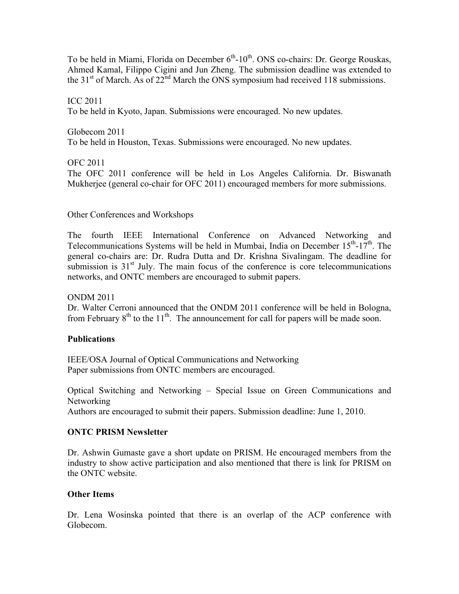To be held in Miami, Florida on December  $6<sup>th</sup>$ -10<sup>th</sup>. ONS co-chairs: Dr. George Rouskas, Ahmed Kamal, Filippo Cigini and Jun Zheng. The submission deadline was extended to the 31<sup>st</sup> of March. As of  $22<sup>nd</sup>$  March the ONS symposium had received 118 submissions.

ICC 2011 To be held in Kyoto, Japan. Submissions were encouraged. No new updates.

Globecom 2011 To be held in Houston, Texas. Submissions were encouraged. No new updates.

OFC 2011

The OFC 2011 conference will be held in Los Angeles California. Dr. Biswanath Mukherjee (general co-chair for OFC 2011) encouraged members for more submissions.

Other Conferences and Workshops

The fourth IEEE International Conference on Advanced Networking and Telecommunications Systems will be held in Mumbai, India on December  $15<sup>th</sup>$ -17<sup>th</sup>. The general co-chairs are: Dr. Rudra Dutta and Dr. Krishna Sivalingam. The deadline for submission is  $31<sup>st</sup>$  July. The main focus of the conference is core telecommunications networks, and ONTC members are encouraged to submit papers.

ONDM 2011

Dr. Walter Cerroni announced that the ONDM 2011 conference will be held in Bologna, from February  $8<sup>th</sup>$  to the 11<sup>th</sup>. The announcement for call for papers will be made soon.

# **Publications**

IEEE/OSA Journal of Optical Communications and Networking Paper submissions from ONTC members are encouraged.

Optical Switching and Networking – Special Issue on Green Communications and Networking

Authors are encouraged to submit their papers. Submission deadline: June 1, 2010.

# **ONTC PRISM Newsletter**

Dr. Ashwin Gumaste gave a short update on PRISM. He encouraged members from the industry to show active participation and also mentioned that there is link for PRISM on the ONTC website.

# **Other Items**

Dr. Lena Wosinska pointed that there is an overlap of the ACP conference with Globecom.